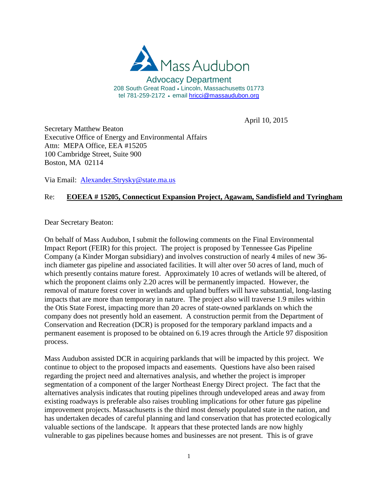

April 10, 2015

Secretary [Matthew Beaton](http://www.mass.gov/eea/biowelcome-maeve-vallely-bartlett.html) Executive Office of Energy and Environmental Affairs Attn: MEPA Office, EEA #15205 100 Cambridge Street, Suite 900 Boston, MA 02114

Via Email: [Alexander.Strysky@state.ma.us](mailto:alexander.strysky@state.ma.us)

## Re: **EOEEA # 15205, Connecticut Expansion Project, Agawam, Sandisfield and Tyringham**

Dear Secretary Beaton:

On behalf of Mass Audubon, I submit the following comments on the Final Environmental Impact Report (FEIR) for this project. The project is proposed by Tennessee Gas Pipeline Company (a Kinder Morgan subsidiary) and involves construction of nearly 4 miles of new 36 inch diameter gas pipeline and associated facilities. It will alter over 50 acres of land, much of which presently contains mature forest. Approximately 10 acres of wetlands will be altered, of which the proponent claims only 2.20 acres will be permanently impacted. However, the removal of mature forest cover in wetlands and upland buffers will have substantial, long-lasting impacts that are more than temporary in nature. The project also will traverse 1.9 miles within the Otis State Forest, impacting more than 20 acres of state-owned parklands on which the company does not presently hold an easement. A construction permit from the Department of Conservation and Recreation (DCR) is proposed for the temporary parkland impacts and a permanent easement is proposed to be obtained on 6.19 acres through the Article 97 disposition process.

Mass Audubon assisted DCR in acquiring parklands that will be impacted by this project. We continue to object to the proposed impacts and easements. Questions have also been raised regarding the project need and alternatives analysis, and whether the project is improper segmentation of a component of the larger Northeast Energy Direct project. The fact that the alternatives analysis indicates that routing pipelines through undeveloped areas and away from existing roadways is preferable also raises troubling implications for other future gas pipeline improvement projects. Massachusetts is the third most densely populated state in the nation, and has undertaken decades of careful planning and land conservation that has protected ecologically valuable sections of the landscape. It appears that these protected lands are now highly vulnerable to gas pipelines because homes and businesses are not present. This is of grave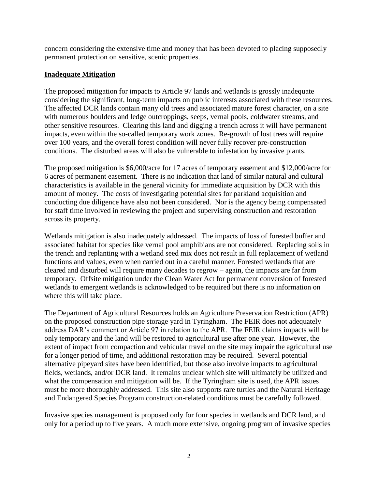concern considering the extensive time and money that has been devoted to placing supposedly permanent protection on sensitive, scenic properties.

## **Inadequate Mitigation**

The proposed mitigation for impacts to Article 97 lands and wetlands is grossly inadequate considering the significant, long-term impacts on public interests associated with these resources. The affected DCR lands contain many old trees and associated mature forest character, on a site with numerous boulders and ledge outcroppings, seeps, vernal pools, coldwater streams, and other sensitive resources. Clearing this land and digging a trench across it will have permanent impacts, even within the so-called temporary work zones. Re-growth of lost trees will require over 100 years, and the overall forest condition will never fully recover pre-construction conditions. The disturbed areas will also be vulnerable to infestation by invasive plants.

The proposed mitigation is \$6,000/acre for 17 acres of temporary easement and \$12,000/acre for 6 acres of permanent easement. There is no indication that land of similar natural and cultural characteristics is available in the general vicinity for immediate acquisition by DCR with this amount of money. The costs of investigating potential sites for parkland acquisition and conducting due diligence have also not been considered. Nor is the agency being compensated for staff time involved in reviewing the project and supervising construction and restoration across its property.

Wetlands mitigation is also inadequately addressed. The impacts of loss of forested buffer and associated habitat for species like vernal pool amphibians are not considered. Replacing soils in the trench and replanting with a wetland seed mix does not result in full replacement of wetland functions and values, even when carried out in a careful manner. Forested wetlands that are cleared and disturbed will require many decades to regrow – again, the impacts are far from temporary. Offsite mitigation under the Clean Water Act for permanent conversion of forested wetlands to emergent wetlands is acknowledged to be required but there is no information on where this will take place.

The Department of Agricultural Resources holds an Agriculture Preservation Restriction (APR) on the proposed construction pipe storage yard in Tyringham. The FEIR does not adequately address DAR's comment or Article 97 in relation to the APR. The FEIR claims impacts will be only temporary and the land will be restored to agricultural use after one year. However, the extent of impact from compaction and vehicular travel on the site may impair the agricultural use for a longer period of time, and additional restoration may be required. Several potential alternative pipeyard sites have been identified, but those also involve impacts to agricultural fields, wetlands, and/or DCR land. It remains unclear which site will ultimately be utilized and what the compensation and mitigation will be. If the Tyringham site is used, the APR issues must be more thoroughly addressed. This site also supports rare turtles and the Natural Heritage and Endangered Species Program construction-related conditions must be carefully followed.

Invasive species management is proposed only for four species in wetlands and DCR land, and only for a period up to five years. A much more extensive, ongoing program of invasive species